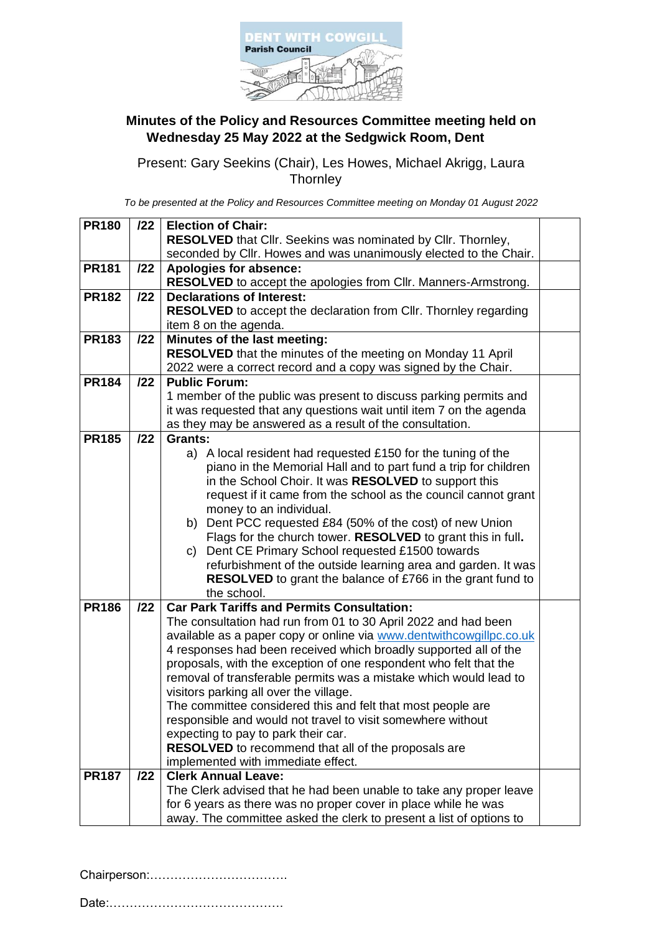

## **Minutes of the Policy and Resources Committee meeting held on Wednesday 25 May 2022 at the Sedgwick Room, Dent**

Present: Gary Seekins (Chair), Les Howes, Michael Akrigg, Laura **Thornley** 

*To be presented at the Policy and Resources Committee meeting on Monday 01 August 2022*

| <b>PR180</b> | 122 | <b>Election of Chair:</b>                                               |  |
|--------------|-----|-------------------------------------------------------------------------|--|
|              |     | RESOLVED that Cllr. Seekins was nominated by Cllr. Thornley,            |  |
|              |     | seconded by Cllr. Howes and was unanimously elected to the Chair.       |  |
| <b>PR181</b> | 122 | Apologies for absence:                                                  |  |
|              |     | RESOLVED to accept the apologies from Cllr. Manners-Armstrong.          |  |
| <b>PR182</b> | 122 | <b>Declarations of Interest:</b>                                        |  |
|              |     | <b>RESOLVED</b> to accept the declaration from Cllr. Thornley regarding |  |
|              |     | item 8 on the agenda.                                                   |  |
| <b>PR183</b> | 122 | Minutes of the last meeting:                                            |  |
|              |     | RESOLVED that the minutes of the meeting on Monday 11 April             |  |
|              |     | 2022 were a correct record and a copy was signed by the Chair.          |  |
| <b>PR184</b> | 122 | <b>Public Forum:</b>                                                    |  |
|              |     | 1 member of the public was present to discuss parking permits and       |  |
|              |     | it was requested that any questions wait until item 7 on the agenda     |  |
|              |     | as they may be answered as a result of the consultation.                |  |
| <b>PR185</b> | 122 | <b>Grants:</b>                                                          |  |
|              |     | a) A local resident had requested £150 for the tuning of the            |  |
|              |     | piano in the Memorial Hall and to part fund a trip for children         |  |
|              |     | in the School Choir. It was RESOLVED to support this                    |  |
|              |     | request if it came from the school as the council cannot grant          |  |
|              |     |                                                                         |  |
|              |     | money to an individual.                                                 |  |
|              |     | b) Dent PCC requested £84 (50% of the cost) of new Union                |  |
|              |     | Flags for the church tower. RESOLVED to grant this in full.             |  |
|              |     | Dent CE Primary School requested £1500 towards<br>C)                    |  |
|              |     | refurbishment of the outside learning area and garden. It was           |  |
|              |     | <b>RESOLVED</b> to grant the balance of £766 in the grant fund to       |  |
|              |     | the school.                                                             |  |
| <b>PR186</b> | 122 | <b>Car Park Tariffs and Permits Consultation:</b>                       |  |
|              |     | The consultation had run from 01 to 30 April 2022 and had been          |  |
|              |     | available as a paper copy or online via www.dentwithcowgillpc.co.uk     |  |
|              |     | 4 responses had been received which broadly supported all of the        |  |
|              |     | proposals, with the exception of one respondent who felt that the       |  |
|              |     | removal of transferable permits was a mistake which would lead to       |  |
|              |     | visitors parking all over the village.                                  |  |
|              |     | The committee considered this and felt that most people are             |  |
|              |     | responsible and would not travel to visit somewhere without             |  |
|              |     | expecting to pay to park their car.                                     |  |
|              |     | <b>RESOLVED</b> to recommend that all of the proposals are              |  |
|              |     | implemented with immediate effect.                                      |  |
| <b>PR187</b> | 122 | <b>Clerk Annual Leave:</b>                                              |  |
|              |     | The Clerk advised that he had been unable to take any proper leave      |  |
|              |     | for 6 years as there was no proper cover in place while he was          |  |
|              |     | away. The committee asked the clerk to present a list of options to     |  |

Chairperson:…………………………….

Date:…………………………………….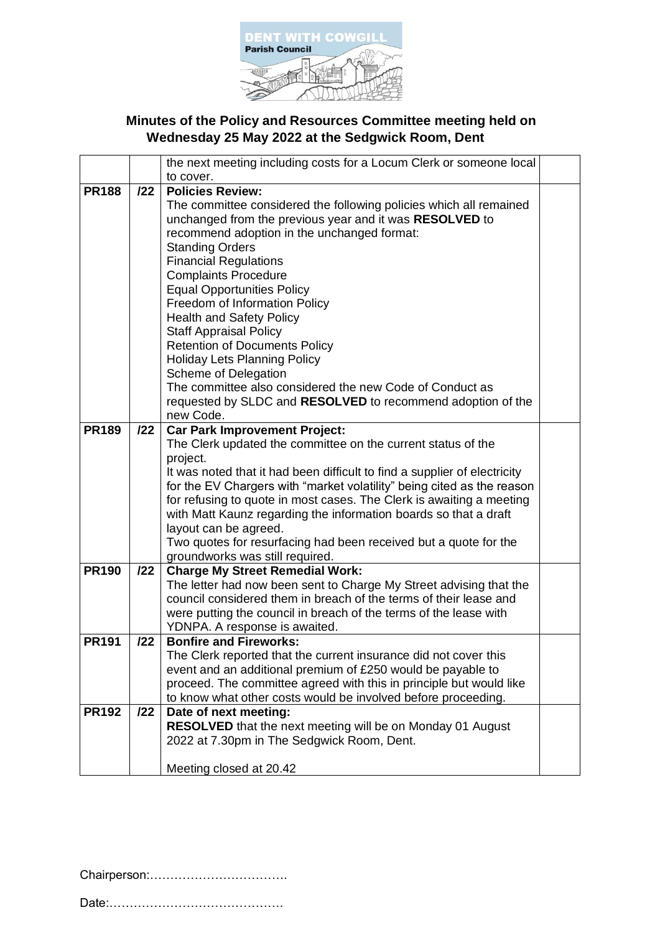

## **Minutes of the Policy and Resources Committee meeting held on Wednesday 25 May 2022 at the Sedgwick Room, Dent**

|              |     | the next meeting including costs for a Locum Clerk or someone local       |  |
|--------------|-----|---------------------------------------------------------------------------|--|
|              |     | to cover.                                                                 |  |
| <b>PR188</b> | 122 | <b>Policies Review:</b>                                                   |  |
|              |     | The committee considered the following policies which all remained        |  |
|              |     | unchanged from the previous year and it was RESOLVED to                   |  |
|              |     | recommend adoption in the unchanged format:                               |  |
|              |     | <b>Standing Orders</b>                                                    |  |
|              |     | <b>Financial Regulations</b>                                              |  |
|              |     | <b>Complaints Procedure</b>                                               |  |
|              |     | <b>Equal Opportunities Policy</b>                                         |  |
|              |     | Freedom of Information Policy                                             |  |
|              |     | <b>Health and Safety Policy</b>                                           |  |
|              |     | <b>Staff Appraisal Policy</b>                                             |  |
|              |     | <b>Retention of Documents Policy</b>                                      |  |
|              |     | <b>Holiday Lets Planning Policy</b>                                       |  |
|              |     | Scheme of Delegation                                                      |  |
|              |     | The committee also considered the new Code of Conduct as                  |  |
|              |     | requested by SLDC and RESOLVED to recommend adoption of the               |  |
|              |     | new Code.                                                                 |  |
| <b>PR189</b> | 122 | <b>Car Park Improvement Project:</b>                                      |  |
|              |     | The Clerk updated the committee on the current status of the              |  |
|              |     | project.                                                                  |  |
|              |     | It was noted that it had been difficult to find a supplier of electricity |  |
|              |     | for the EV Chargers with "market volatility" being cited as the reason    |  |
|              |     | for refusing to quote in most cases. The Clerk is awaiting a meeting      |  |
|              |     | with Matt Kaunz regarding the information boards so that a draft          |  |
|              |     | layout can be agreed.                                                     |  |
|              |     | Two quotes for resurfacing had been received but a quote for the          |  |
|              |     | groundworks was still required.                                           |  |
| <b>PR190</b> | 122 | <b>Charge My Street Remedial Work:</b>                                    |  |
|              |     | The letter had now been sent to Charge My Street advising that the        |  |
|              |     | council considered them in breach of the terms of their lease and         |  |
|              |     | were putting the council in breach of the terms of the lease with         |  |
|              |     | YDNPA. A response is awaited.                                             |  |
| <b>PR191</b> | 122 | <b>Bonfire and Fireworks:</b>                                             |  |
|              |     | The Clerk reported that the current insurance did not cover this          |  |
|              |     | event and an additional premium of £250 would be payable to               |  |
|              |     | proceed. The committee agreed with this in principle but would like       |  |
|              |     | to know what other costs would be involved before proceeding.             |  |
| <b>PR192</b> | 122 | Date of next meeting:                                                     |  |
|              |     | RESOLVED that the next meeting will be on Monday 01 August                |  |
|              |     | 2022 at 7.30pm in The Sedgwick Room, Dent.                                |  |
|              |     |                                                                           |  |
|              |     | Meeting closed at 20.42                                                   |  |

Chairperson:…………………………….

Date:…………………………………….